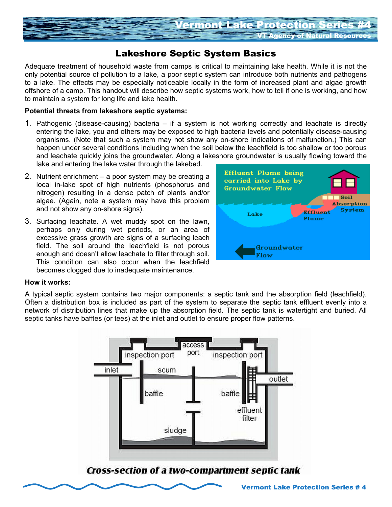

# Lakeshore Septic System Basics

Adequate treatment of household waste from camps is critical to maintaining lake health. While it is not the only potential source of pollution to a lake, a poor septic system can introduce both nutrients and pathogens to a lake. The effects may be especially noticeable locally in the form of increased plant and algae growth offshore of a camp. This handout will describe how septic systems work, how to tell if one is working, and how to maintain a system for long life and lake health.

## **Potential threats from lakeshore septic systems:**

- 1. Pathogenic (disease-causing) bacteria if a system is not working correctly and leachate is directly entering the lake, you and others may be exposed to high bacteria levels and potentially disease-causing organisms. (Note that such a system may not show any on-shore indications of malfunction.) This can happen under several conditions including when the soil below the leachfield is too shallow or too porous and leachate quickly joins the groundwater. Along a lakeshore groundwater is usually flowing toward the lake and entering the lake water through the lakebed.
- 2. Nutrient enrichment a poor system may be creating a local in-lake spot of high nutrients (phosphorus and nitrogen) resulting in a dense patch of plants and/or algae. (Again, note a system may have this problem and not show any on-shore signs).
- 3. Surfacing leachate. A wet muddy spot on the lawn, perhaps only during wet periods, or an area of excessive grass growth are signs of a surfacing leach field. The soil around the leachfield is not porous enough and doesn't allow leachate to filter through soil. This condition can also occur when the leachfield becomes clogged due to inadequate maintenance.



### **How it works:**

A typical septic system contains two major components: a septic tank and the absorption field (leachfield). Often a distribution box is included as part of the system to separate the septic tank effluent evenly into a network of distribution lines that make up the absorption field. The septic tank is watertight and buried. All septic tanks have baffles (or tees) at the inlet and outlet to ensure proper flow patterns.



Cross-section of a two-compartment septic tank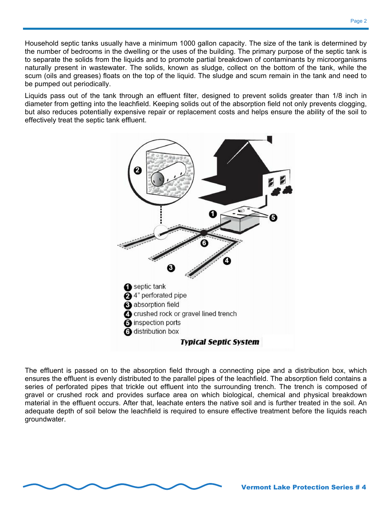Household septic tanks usually have a minimum 1000 gallon capacity. The size of the tank is determined by the number of bedrooms in the dwelling or the uses of the building. The primary purpose of the septic tank is to separate the solids from the liquids and to promote partial breakdown of contaminants by microorganisms naturally present in wastewater. The solids, known as sludge, collect on the bottom of the tank, while the scum (oils and greases) floats on the top of the liquid. The sludge and scum remain in the tank and need to be pumped out periodically.

Liquids pass out of the tank through an effluent filter, designed to prevent solids greater than 1/8 inch in diameter from getting into the leachfield. Keeping solids out of the absorption field not only prevents clogging, but also reduces potentially expensive repair or replacement costs and helps ensure the ability of the soil to effectively treat the septic tank effluent.



The effluent is passed on to the absorption field through a connecting pipe and a distribution box, which ensures the effluent is evenly distributed to the parallel pipes of the leachfield. The absorption field contains a series of perforated pipes that trickle out effluent into the surrounding trench. The trench is composed of gravel or crushed rock and provides surface area on which biological, chemical and physical breakdown material in the effluent occurs. After that, leachate enters the native soil and is further treated in the soil. An adequate depth of soil below the leachfield is required to ensure effective treatment before the liquids reach groundwater.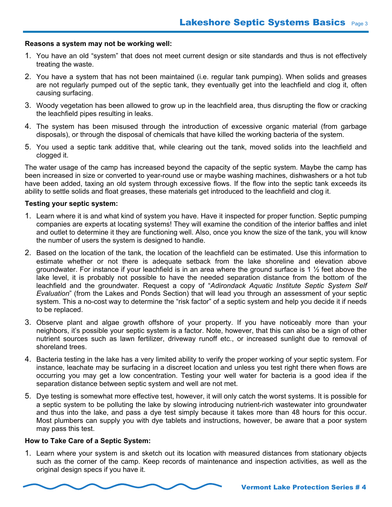## **Reasons a system may not be working well:**

- 1. You have an old "system" that does not meet current design or site standards and thus is not effectively treating the waste.
- 2. You have a system that has not been maintained (i.e. regular tank pumping). When solids and greases are not regularly pumped out of the septic tank, they eventually get into the leachfield and clog it, often causing surfacing.
- 3. Woody vegetation has been allowed to grow up in the leachfield area, thus disrupting the flow or cracking the leachfield pipes resulting in leaks.
- 4. The system has been misused through the introduction of excessive organic material (from garbage disposals), or through the disposal of chemicals that have killed the working bacteria of the system.
- 5. You used a septic tank additive that, while clearing out the tank, moved solids into the leachfield and clogged it.

The water usage of the camp has increased beyond the capacity of the septic system. Maybe the camp has been increased in size or converted to year-round use or maybe washing machines, dishwashers or a hot tub have been added, taxing an old system through excessive flows. If the flow into the septic tank exceeds its ability to settle solids and float greases, these materials get introduced to the leachfield and clog it.

## **Testing your septic system:**

- 1. Learn where it is and what kind of system you have. Have it inspected for proper function. Septic pumping companies are experts at locating systems! They will examine the condition of the interior baffles and inlet and outlet to determine it they are functioning well. Also, once you know the size of the tank, you will know the number of users the system is designed to handle.
- 2. Based on the location of the tank, the location of the leachfield can be estimated. Use this information to estimate whether or not there is adequate setback from the lake shoreline and elevation above groundwater. For instance if your leachfield is in an area where the ground surface is 1 ½ feet above the lake level, it is probably not possible to have the needed separation distance from the bottom of the leachfield and the groundwater. Request a copy of "*Adirondack Aquatic Institute Septic System Self Evaluation*" (from the Lakes and Ponds Section) that will lead you through an assessment of your septic system. This a no-cost way to determine the "risk factor" of a septic system and help you decide it if needs to be replaced.
- 3. Observe plant and algae growth offshore of your property. If you have noticeably more than your neighbors, it's possible your septic system is a factor. Note, however, that this can also be a sign of other nutrient sources such as lawn fertilizer, driveway runoff etc., or increased sunlight due to removal of shoreland trees.
- 4. Bacteria testing in the lake has a very limited ability to verify the proper working of your septic system. For instance, leachate may be surfacing in a discreet location and unless you test right there when flows are occurring you may get a low concentration. Testing your well water for bacteria is a good idea if the separation distance between septic system and well are not met.
- 5. Dye testing is somewhat more effective test, however, it will only catch the worst systems. It is possible for a septic system to be polluting the lake by slowing introducing nutrient-rich wastewater into groundwater and thus into the lake, and pass a dye test simply because it takes more than 48 hours for this occur. Most plumbers can supply you with dye tablets and instructions, however, be aware that a poor system may pass this test.

### **How to Take Care of a Septic System:**

1. Learn where your system is and sketch out its location with measured distances from stationary objects such as the corner of the camp. Keep records of maintenance and inspection activities, as well as the original design specs if you have it.